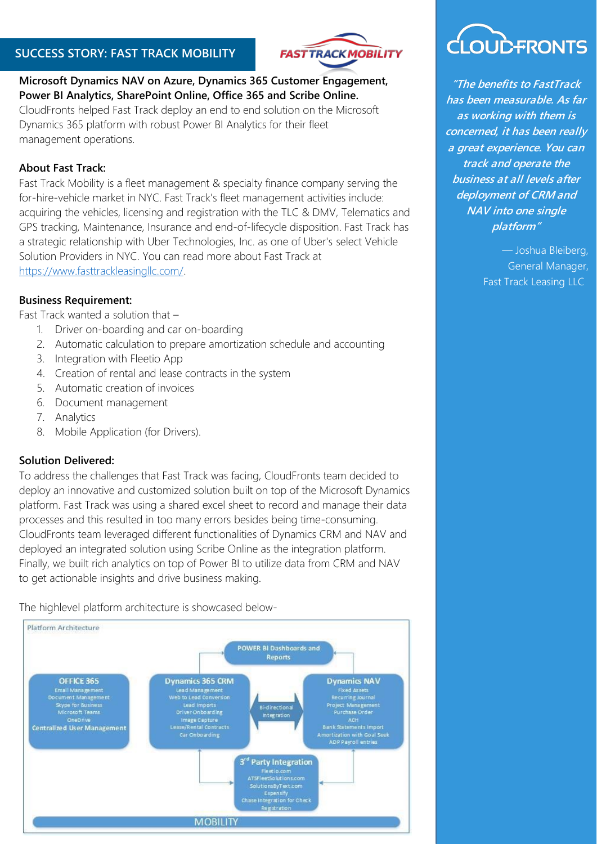### **SUCCESS STORY: FAST TRACK MOBILITY**



#### **Microsoft Dynamics NAV on Azure, Dynamics 365 Customer Engagement, Power BI Analytics, SharePoint Online, Office 365 and Scribe Online.**

CloudFronts helped Fast Track deploy an end to end solution on the Microsoft Dynamics 365 platform with robust Power BI Analytics for their fleet management operations.

### **About Fast Track:**

Fast Track Mobility is a fleet management & specialty finance company serving the for-hire-vehicle market in NYC. Fast Track's fleet management activities include: acquiring the vehicles, licensing and registration with the TLC & DMV, Telematics and GPS tracking, Maintenance, Insurance and end-of-lifecycle disposition. Fast Track has a strategic relationship with Uber Technologies, Inc. as one of Uber's select Vehicle Solution Providers in NYC. You can read more about Fast Track at [https://www.fasttrackleasingllc.com/.](http://www.fasttrackleasingllc.com/)

#### **Business Requirement:**

Fast Track wanted a solution that –

- 1. Driver on-boarding and car on-boarding
- 2. Automatic calculation to prepare amortization schedule and accounting
- 3. Integration with Fleetio App
- 4. Creation of rental and lease contracts in the system
- 5. Automatic creation of invoices
- 6. Document management
- 7. Analytics
- 8. Mobile Application (for Drivers).

#### **Solution Delivered:**

To address the challenges that Fast Track was facing, CloudFronts team decided to deploy an innovative and customized solution built on top of the Microsoft Dynamics platform. Fast Track was using a shared excel sheet to record and manage their data processes and this resulted in too many errors besides being time-consuming. CloudFronts team leveraged different functionalities of Dynamics CRM and NAV and deployed an integrated solution using Scribe Online as the integration platform. Finally, we built rich analytics on top of Power BI to utilize data from CRM and NAV to get actionable insights and drive business making.

The highlevel platform architecture is showcased below-





**"The benefits to FastTrack has been measurable. As far as working with them is concerned, it has been really a great experience. You can track and operate the business at all levels after deployment of CRM and NAV into one single platform"**

> — Joshua Bleiberg, General Manager, Fast Track Leasing LLC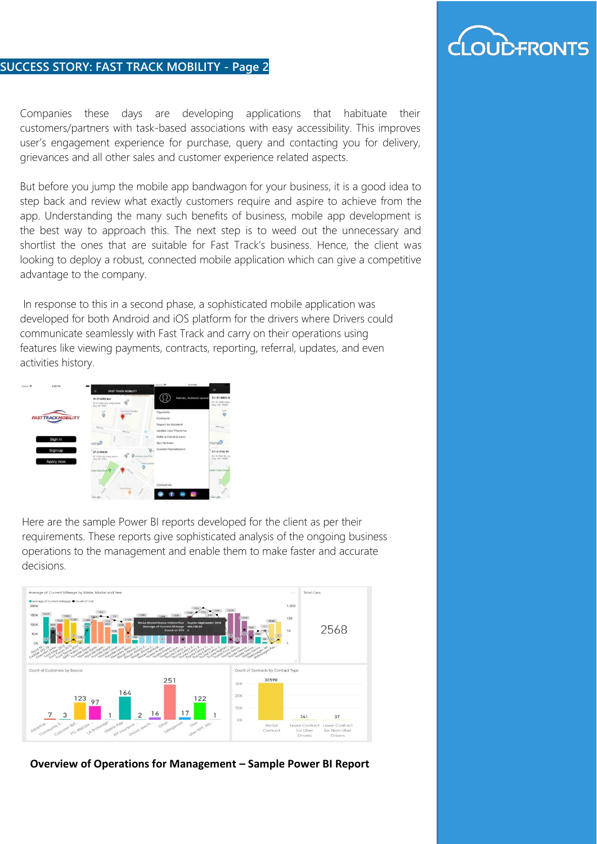## **DUD-FRONTS**

#### **SUCCESS STORY: FAST TRACK MOBILITY - Page 2**

Companies these days are developing applications that habituate their customers/partners with task-based associations with easy accessibility. This improves user's engagement experience for purchase, query and contacting you for delivery, grievances and all other sales and customer experience related aspects.

But before you jump the mobile app bandwagon for your business, it is a good idea to step back and review what exactly customers require and aspire to achieve from the app. Understanding the many such benefits of business, mobile app development is the best way to approach this. The next step is to weed out the unnecessary and shortlist the ones that are suitable for Fast Track's business. Hence, the client was looking to deploy a robust, connected mobile application which can give a competitive advantage to the company.

In response to this in a second phase, a sophisticated mobile application was developed for both Android and iOS platform for the drivers where Drivers could communicate seamlessly with Fast Track and carry on their operations using features like viewing payments, contracts, reporting, referral, updates, and even activities history.



Here are the sample Power BI reports developed for the client as per their requirements. These reports give sophisticated analysis of the ongoing business operations to the management and enable them to make faster and accurate decisions.



**Overview of Operations for Management – Sample Power BI Report**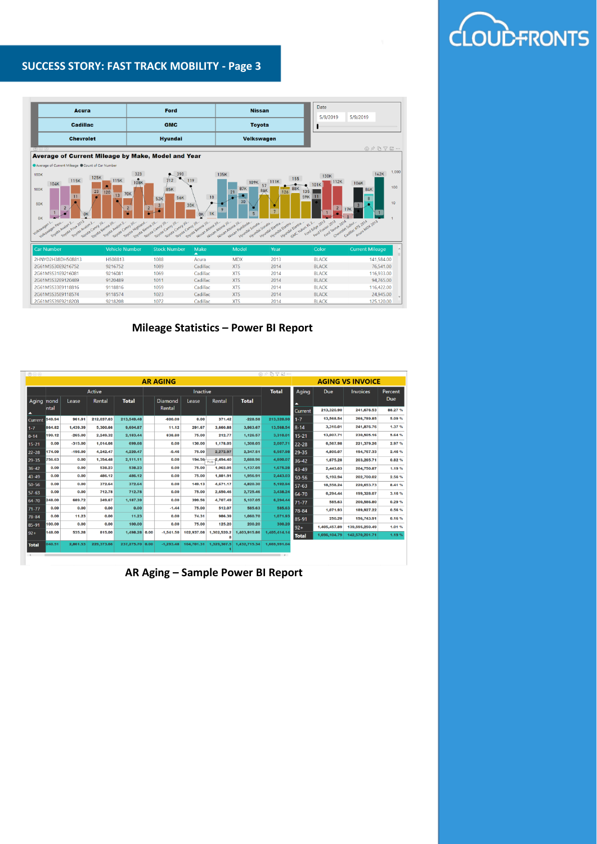#### **SUCCESS STORY: FAST TRACK MOBILITY - Page 3**



**Mileage Statistics – Power BI Report**

| 0 0 0           | $\circledcirc \wedge \circledcirc \vee \circledcirc \cdots$ |           |            |                 |  |                 |            |                   |              |               |                         |              |                 |            |
|-----------------|-------------------------------------------------------------|-----------|------------|-----------------|--|-----------------|------------|-------------------|--------------|---------------|-------------------------|--------------|-----------------|------------|
| <b>AR AGING</b> |                                                             |           |            |                 |  |                 |            |                   |              |               | <b>AGING VS INVOICE</b> |              |                 |            |
|                 | Active                                                      |           |            |                 |  | <b>Inactive</b> |            |                   |              |               | Aging                   | Due          | <b>Invoices</b> | Percent    |
| Aging nond      |                                                             | Lease     | Rental     | <b>Total</b>    |  | Diamond         | Lease      | Rental            | <b>Total</b> |               | ▴                       |              |                 | <b>Due</b> |
| ▴               | ntal                                                        |           |            |                 |  | Rental          |            |                   |              |               | <b>Current</b>          | 213,320.90   | 241,676.53      | 88.27%     |
| Current         | 549.94                                                      | 961.91    | 212.037.63 | 213,549.48      |  | $-600.00$       | 0.00       | 371.42            | $-228.58$    | 213,320.90    | $1 - 7$                 | 13,568.54    | 266,789.85      | 5.09%      |
| $1 - 7$         | 864.82                                                      | 1,439.39  | 5,300.66   | 9,604.87        |  | 11.12           | 291.67     | 3,660.88          | 3,963.67     | 13,568.54     | $8 - 14$                | 3,310.01     | 241,876.76      | 1.37 %     |
| $8 - 14$        | 199.12                                                      | $-265.00$ | 2.249.32   | 2.183.44        |  | 838.80          | 75,00      | 212.77            | 1.126.57     | 3,310.01      | $15 - 21$               | 13,007.71    | 230,505.16      | 5.64%      |
| $15 - 21$       | 0.00                                                        | $-315.00$ | 1,014.66   | 699.66          |  | 0.00            | 130,00     | 1,178.05          | 1,308.05     | 2,007.71      | $22 - 28$               | 6,567.98     | 221,379.26      | 2.97 %     |
| 22-28           | 174.00                                                      | $-196.00$ | 4,242.47   | 4,220.47        |  | $-0.46$         | 75.00      | 2,272.97          | 2,347.51     | 6,567.98      | 29-35                   | 4,800.07     | 194,767.33      | 2.46 %     |
| 29-35           | 756.63                                                      | 0.00      | 1,354.48   | 2,111.11        |  | 0.00            | 194.56     | 2,494.40<br>75.00 | 2,688.96     | 4,800.07      | 36-42                   | 1,675.28     | 203.265.71      | 0.82%      |
| $36 - 42$       | 0.00                                                        | 0.00      | 538.23     | 538.23          |  | 0.00            | 75.00      | 1,062.05          | 1,137.05     | 1,675.28      | 43-49                   | 2.443.03     | 204,750,87      | 1.19%      |
| 43-49           | 0.00                                                        | 0.00      | 486.12     | 486.12          |  | 0.00            | 75.00      | 1,881.91          | 1,956.91     | 2,443.03      | $50 - 56$               | 5.192.94     | 202.700.02      | 2.56 %     |
| 50-56           | 0.00                                                        | 0.00      | 372.64     | 372.64          |  | 0.00            | 149.13     | 4,671.17          | 4,820.30     | 5,192.94      | $57 - 63$               | 18,558.24    | 220.653.73      | 8.41%      |
| 57-63           | 0.00                                                        | 0.00      | 712.78     | 712.78          |  | 0.00            | 75,00      | 2,650,46          | 2,725.46     | 3,438.24      | 64-70                   | 6,294.44     | 199,328.07      | 3.16 %     |
| 64-70           | 248.00                                                      | 689.72    | 249,67     | 1.187.39        |  | 0.00            | 399.56     | 4,707.49          | 5,107.05     | 6,294.44      | $71 - 77$               | 585.63       | 200,586,80      | 0.29 %     |
| $71 - 77$       | 0.00                                                        | 0.00      | 0.00       | 0.00            |  | $-1.44$         | 75.00      | 512.07            | 585.63       | 585.63        | 78-84                   | 1,071.93     | 189,927.22      | 0.56 %     |
| 78-84           | 0.00                                                        | 11.23     | 0.00       | 11.23           |  | 0.00            | 74.31      | 986.39            | 1,060.70     | 1.071.93      | 85-91                   | 250.20       | 156,743.91      | 0.16%      |
| 85-91           | 100.00                                                      | 0.00      | 0.00       | 100.00          |  | 0.00            | 75.00      | 125.20            | 200.20       | 300.20        | $92+$                   | 1.405.457.89 | 139,595,250.49  | 1.01 %     |
| $92+$           | 148.00                                                      | 535.28    | 815.00     | 1,498.28 0.00   |  | $-1,541,50$     | 102,937.08 | 1,302,520.2<br>8  | 1,403,915.86 | 1,405,414.14  | <b>Total</b>            | 1,696,104.79 | 142.570.201.71  | 1.19%      |
| <b>Total</b>    | 040.51                                                      | 2.861.53  | 229.373.66 | 237.275.70 0.00 |  | $-1,293,48$     | 104.701.31 | 1,329,307.5       | 1,432,715,34 | 1,669,991.04  |                         |              |                 |            |
|                 |                                                             |           |            |                 |  |                 |            |                   |              | $\rightarrow$ |                         |              |                 |            |

 **AR Aging – Sample Power BI Report** 

# OUDFRONTS